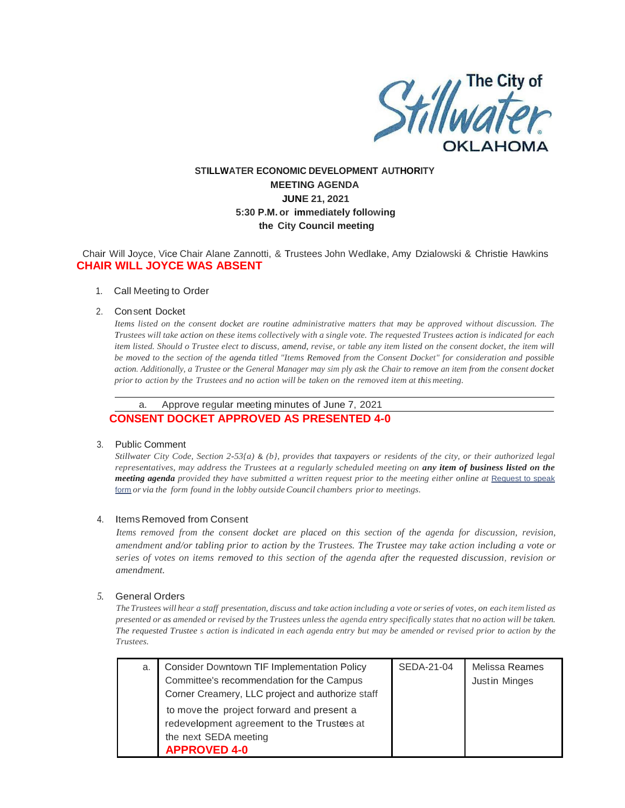

# **STILLWATER ECONOMIC DEVELOPMENT AUTHORITY MEETING AGENDA JUNE 21, 2021 5:30 P.M. or immediately following the City Council meeting**

Chair Will Joyce, Vice Chair Alane Zannotti, & Trustees John Wedlake, Amy Dzialowski & Christie Hawkins **CHAIR WILL JOYCE WAS ABSENT**

#### 1. Call Meeting to Order

#### 2. Consent Docket

*Items listed on the consent docket are routine administrative matters that may be approved without discussion. The Trustees will take action on these items collectively with a single vote. The requested Trustees action is indicated for each item listed. Should o Trustee elect to discuss, amend, revise, or table any item listed on the consent docket, the item will be moved to the section of the agenda titled "Items Removed from the Consent Docket" for consideration and possible action. Additionally, a Trustee or the General Manager may sim ply ask the Chair to remove an item from the consent docket prior to action by the Trustees and no action will be taken on the removed item at this meeting.*

a. Approve regular meeting minutes of June 7, 2021

## **CONSENT DOCKET APPROVED AS PRESENTED 4-0**

### 3. Public Comment

*Stillwater City Code, Section 2-53{a)* & *(b}, provides that taxpayers or residents of the city, or their authorized legal representatives, may address the Trustees at a regularly scheduled meeting on any item of business listed on the meeting agenda provided they have submitted a written request prior to the meeting either online at* Request to speak form *or via the form found in the lobby outside Council chambers priorto meetings.*

### 4. Items Removed from Consent

*Items removed from the consent docket are placed on this section of the agenda for discussion, revision, amendment and/or tabling prior to action by the Trustees. The Trustee may take action including a vote or series of votes on items removed to this section of the agenda after the requested discussion, revision or amendment.*

## *5.* General Orders

The Trustees will hear a staff presentation, discuss and take action including a vote or series of votes, on each item listed as *presented or as amended or revised by the Trustees unless the agenda entry specifically states that no action will be taken. The requested Trustee s action is indicated in each agenda entry but may be amended or revised prior to action by the Trustees.*

| a. | <b>Consider Downtown TIF Implementation Policy</b> | SEDA-21-04 | Melissa Reames |
|----|----------------------------------------------------|------------|----------------|
|    | Committee's recommendation for the Campus          |            | Justin Minges  |
|    | Corner Creamery, LLC project and authorize staff   |            |                |
|    | to move the project forward and present a          |            |                |
|    | redevelopment agreement to the Trustees at         |            |                |
|    | the next SEDA meeting                              |            |                |
|    | <b>APPROVED 4-0</b>                                |            |                |